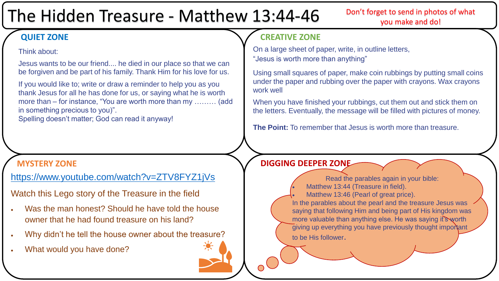# The Hidden Treasure - Matthew 13:44-46

Don't forget to send in photos of what you make and do!

## **QUIET ZONE**

## Think about:

Jesus wants to be our friend.... he died in our place so that we can be forgiven and be part of his family. Thank Him for his love for us.

If you would like to; write or draw a reminder to help you as you thank Jesus for all he has done for us, or saying what he is worth more than – for instance, "You are worth more than my ……… (add in something precious to you)".

Spelling doesn't matter; God can read it anyway!

<https://www.youtube.com/watch?v=ZTV8FYZ1jVs>

Watch this Lego story of the Treasure in the field

- Was the man honest? Should he have told the house owner that he had found treasure on his land?
- Why didn't he tell the house owner about the treasure?
- What would you have done?

## **CREATIVE ZONE**

On a large sheet of paper, write, in outline letters, "Jesus is worth more than anything"

Using small squares of paper, make coin rubbings by putting small coins under the paper and rubbing over the paper with crayons. Wax crayons work well

When you have finished your rubbings, cut them out and stick them on the letters. Eventually, the message will be filled with pictures of money.

**The Point:** To remember that Jesus is worth more than treasure.

## **MYSTERY ZONE DIGGING DEEPER ZONE**

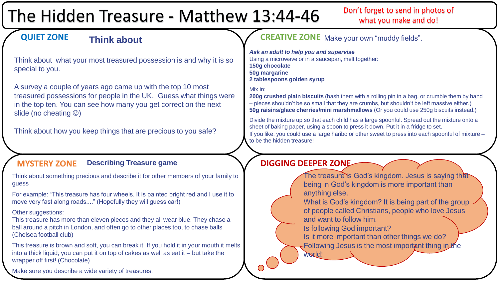# The Hidden Treasure - Matthew 13:44-46

## Don't forget to send in photos of what you make and do!

#### **QUIET ZONE Think about**

Think about what your most treasured possession is and why it is so special to you.

A survey a couple of years ago came up with the top 10 most treasured possessions for people in the UK. Guess what things were in the top ten. You can see how many you get correct on the next slide (no cheating  $\circledcirc$ )

Think about how you keep things that are precious to you safe?

#### **MYSTERY ZONE** Describing Treasure game **N/BIGGING DEEPER ZONE Describing Treasure game**

Think about something precious and describe it for other members of your family to guess

For example: "This treasure has four wheels. It is painted bright red and I use it to move very fast along roads...." (Hopefully they will guess car!)

### Other suggestions:

This treasure has more than eleven pieces and they all wear blue. They chase a ball around a pitch in London, and often go to other places too, to chase balls (Chelsea football club)

This treasure is brown and soft, you can break it. If you hold it in your mouth it melts into a thick liquid; you can put it on top of cakes as well as eat it – but take the wrapper off first! (Chocolate)

Make sure you describe a wide variety of treasures.

## **CREATIVE ZONE** Make your own "muddy fields".

*Ask an adult to help you and supervise* Using a microwave or in a saucepan, melt together: **150g chocolate 50g margarine 2 tablespoons golden syrup**

#### Mix in:

**200g crushed plain biscuits** (bash them with a rolling pin in a bag, or crumble them by hand – pieces shouldn't be so small that they are crumbs, but shouldn't be left massive either.) **50g raisins/glace cherries/mini marshmallows** (Or you could use 250g biscuits instead.)

Divide the mixture up so that each child has a large spoonful. Spread out the mixture onto a sheet of baking paper, using a spoon to press it down. Put it in a fridge to set. If you like, you could use a large haribo or other sweet to press into each spoonful of mixture – to be the hidden treasure!

world!



What is God's kingdom? It is being part of the group of people called Christians, people who love Jesus and want to follow him.

Is following God important?

Is it more important than other things we do?

Following Jesus is the most important thing in the